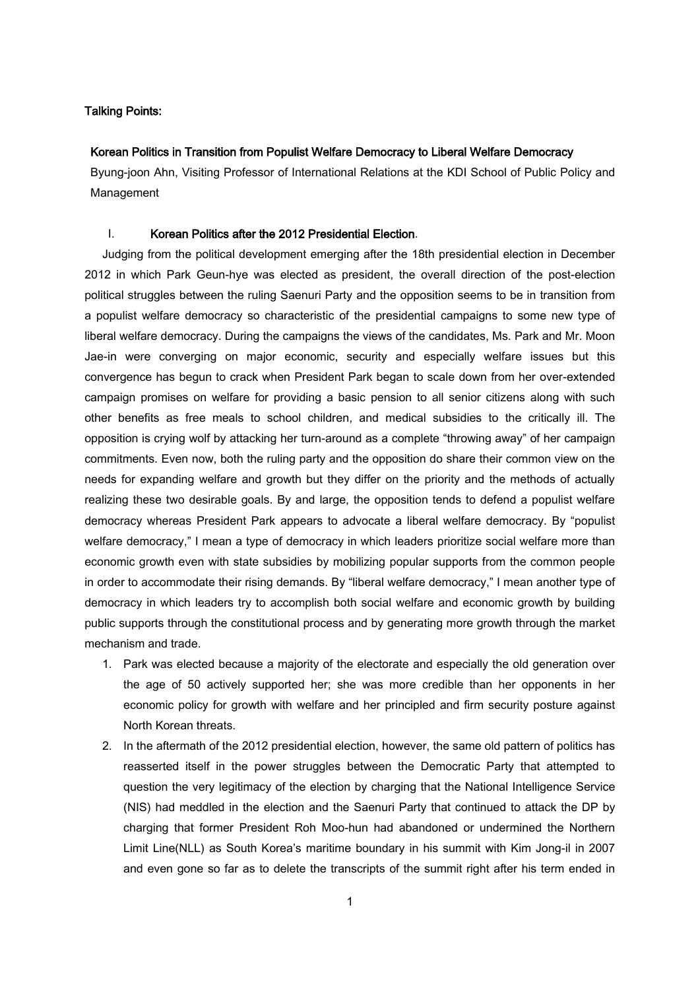# Talking Points:

### Korean Politics in Transition from Populist Welfare Democracy to Liberal Welfare Democracy

Byung-joon Ahn, Visiting Professor of International Relations at the KDI School of Public Policy and Management

## I. Korean Politics after the 2012 Presidential Election.

Judging from the political development emerging after the 18th presidential election in December 2012 in which Park Geun-hye was elected as president, the overall direction of the post-election political struggles between the ruling Saenuri Party and the opposition seems to be in transition from a populist welfare democracy so characteristic of the presidential campaigns to some new type of liberal welfare democracy. During the campaigns the views of the candidates, Ms. Park and Mr. Moon Jae-in were converging on major economic, security and especially welfare issues but this convergence has begun to crack when President Park began to scale down from her over-extended campaign promises on welfare for providing a basic pension to all senior citizens along with such other benefits as free meals to school children, and medical subsidies to the critically ill. The opposition is crying wolf by attacking her turn-around as a complete "throwing away" of her campaign commitments. Even now, both the ruling party and the opposition do share their common view on the needs for expanding welfare and growth but they differ on the priority and the methods of actually realizing these two desirable goals. By and large, the opposition tends to defend a populist welfare democracy whereas President Park appears to advocate a liberal welfare democracy. By "populist welfare democracy," I mean a type of democracy in which leaders prioritize social welfare more than economic growth even with state subsidies by mobilizing popular supports from the common people in order to accommodate their rising demands. By "liberal welfare democracy," I mean another type of democracy in which leaders try to accomplish both social welfare and economic growth by building public supports through the constitutional process and by generating more growth through the market mechanism and trade.

- 1. Park was elected because a majority of the electorate and especially the old generation over the age of 50 actively supported her; she was more credible than her opponents in her economic policy for growth with welfare and her principled and firm security posture against North Korean threats.
- 2. In the aftermath of the 2012 presidential election, however, the same old pattern of politics has reasserted itself in the power struggles between the Democratic Party that attempted to question the very legitimacy of the election by charging that the National Intelligence Service (NIS) had meddled in the election and the Saenuri Party that continued to attack the DP by charging that former President Roh Moo-hun had abandoned or undermined the Northern Limit Line(NLL) as South Korea's maritime boundary in his summit with Kim Jong-il in 2007 and even gone so far as to delete the transcripts of the summit right after his term ended in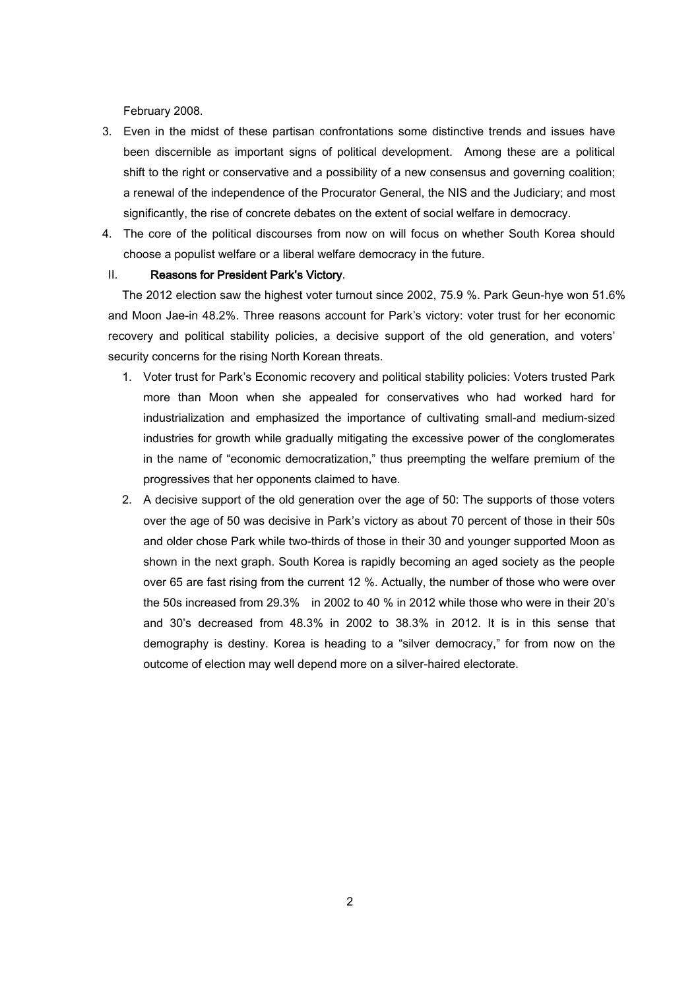February 2008.

- 3. Even in the midst of these partisan confrontations some distinctive trends and issues have been discernible as important signs of political development. Among these are a political shift to the right or conservative and a possibility of a new consensus and governing coalition; a renewal of the independence of the Procurator General, the NIS and the Judiciary; and most significantly, the rise of concrete debates on the extent of social welfare in democracy.
- 4. The core of the political discourses from now on will focus on whether South Korea should choose a populist welfare or a liberal welfare democracy in the future.

#### II. Reasons for President Park's Victory.

The 2012 election saw the highest voter turnout since 2002, 75.9 %. Park Geun-hye won 51.6% and Moon Jae-in 48.2%. Three reasons account for Park's victory: voter trust for her economic recovery and political stability policies, a decisive support of the old generation, and voters' security concerns for the rising North Korean threats.

- 1. Voter trust for Park's Economic recovery and political stability policies: Voters trusted Park more than Moon when she appealed for conservatives who had worked hard for industrialization and emphasized the importance of cultivating small-and medium-sized industries for growth while gradually mitigating the excessive power of the conglomerates in the name of "economic democratization," thus preempting the welfare premium of the progressives that her opponents claimed to have.
- 2. A decisive support of the old generation over the age of 50: The supports of those voters over the age of 50 was decisive in Park's victory as about 70 percent of those in their 50s and older chose Park while two-thirds of those in their 30 and younger supported Moon as shown in the next graph. South Korea is rapidly becoming an aged society as the people over 65 are fast rising from the current 12 %. Actually, the number of those who were over the 50s increased from 29.3% in 2002 to 40 % in 2012 while those who were in their 20's and 30's decreased from 48.3% in 2002 to 38.3% in 2012. It is in this sense that demography is destiny. Korea is heading to a "silver democracy," for from now on the outcome of election may well depend more on a silver-haired electorate.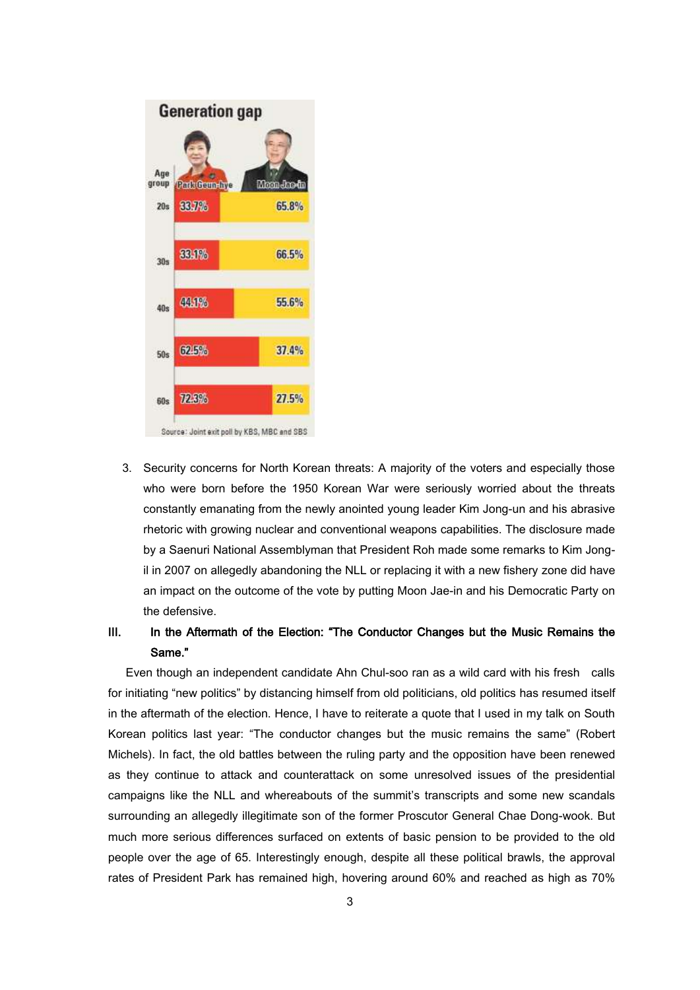

3. Security concerns for North Korean threats: A majority of the voters and especially those who were born before the 1950 Korean War were seriously worried about the threats constantly emanating from the newly anointed young leader Kim Jong-un and his abrasive rhetoric with growing nuclear and conventional weapons capabilities. The disclosure made by a Saenuri National Assemblyman that President Roh made some remarks to Kim Jongil in 2007 on allegedly abandoning the NLL or replacing it with a new fishery zone did have an impact on the outcome of the vote by putting Moon Jae-in and his Democratic Party on the defensive.

# III. In the Aftermath of the Election: "The Conductor Changes but the Music Remains the Same."

 Even though an independent candidate Ahn Chul-soo ran as a wild card with his fresh calls for initiating "new politics" by distancing himself from old politicians, old politics has resumed itself in the aftermath of the election. Hence, I have to reiterate a quote that I used in my talk on South Korean politics last year: "The conductor changes but the music remains the same" (Robert Michels). In fact, the old battles between the ruling party and the opposition have been renewed as they continue to attack and counterattack on some unresolved issues of the presidential campaigns like the NLL and whereabouts of the summit's transcripts and some new scandals surrounding an allegedly illegitimate son of the former Proscutor General Chae Dong-wook. But much more serious differences surfaced on extents of basic pension to be provided to the old people over the age of 65. Interestingly enough, despite all these political brawls, the approval rates of President Park has remained high, hovering around 60% and reached as high as 70%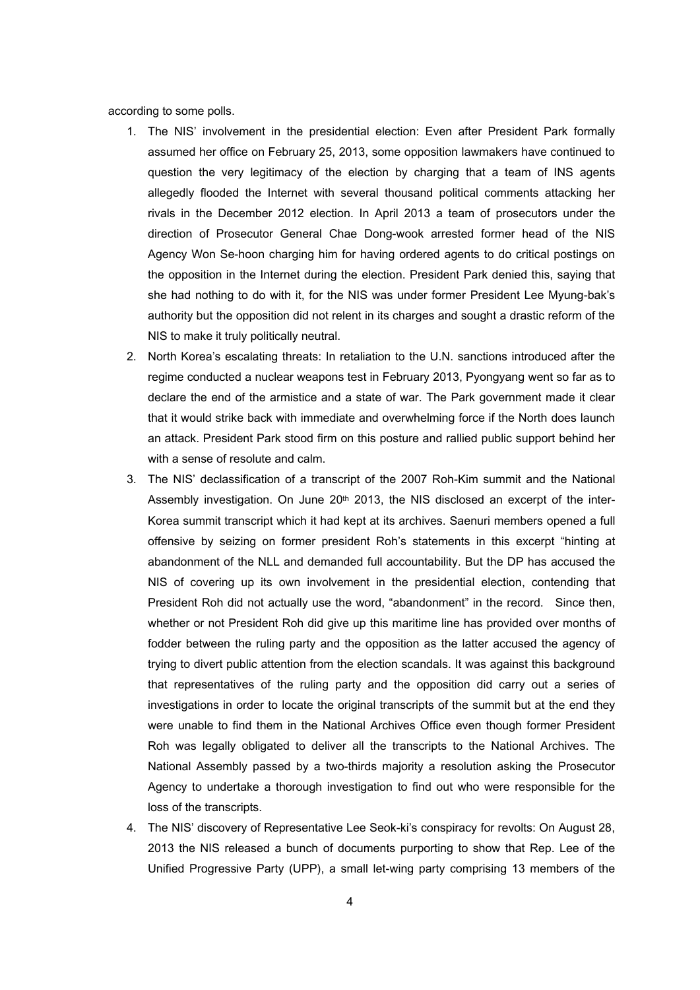according to some polls.

- 1. The NIS' involvement in the presidential election: Even after President Park formally assumed her office on February 25, 2013, some opposition lawmakers have continued to question the very legitimacy of the election by charging that a team of INS agents allegedly flooded the Internet with several thousand political comments attacking her rivals in the December 2012 election. In April 2013 a team of prosecutors under the direction of Prosecutor General Chae Dong-wook arrested former head of the NIS Agency Won Se-hoon charging him for having ordered agents to do critical postings on the opposition in the Internet during the election. President Park denied this, saying that she had nothing to do with it, for the NIS was under former President Lee Myung-bak's authority but the opposition did not relent in its charges and sought a drastic reform of the NIS to make it truly politically neutral.
- 2. North Korea's escalating threats: In retaliation to the U.N. sanctions introduced after the regime conducted a nuclear weapons test in February 2013, Pyongyang went so far as to declare the end of the armistice and a state of war. The Park government made it clear that it would strike back with immediate and overwhelming force if the North does launch an attack. President Park stood firm on this posture and rallied public support behind her with a sense of resolute and calm.
- 3. The NIS' declassification of a transcript of the 2007 Roh-Kim summit and the National Assembly investigation. On June 20<sup>th</sup> 2013, the NIS disclosed an excerpt of the inter-Korea summit transcript which it had kept at its archives. Saenuri members opened a full offensive by seizing on former president Roh's statements in this excerpt "hinting at abandonment of the NLL and demanded full accountability. But the DP has accused the NIS of covering up its own involvement in the presidential election, contending that President Roh did not actually use the word, "abandonment" in the record. Since then, whether or not President Roh did give up this maritime line has provided over months of fodder between the ruling party and the opposition as the latter accused the agency of trying to divert public attention from the election scandals. It was against this background that representatives of the ruling party and the opposition did carry out a series of investigations in order to locate the original transcripts of the summit but at the end they were unable to find them in the National Archives Office even though former President Roh was legally obligated to deliver all the transcripts to the National Archives. The National Assembly passed by a two-thirds majority a resolution asking the Prosecutor Agency to undertake a thorough investigation to find out who were responsible for the loss of the transcripts.
- 4. The NIS' discovery of Representative Lee Seok-ki's conspiracy for revolts: On August 28, 2013 the NIS released a bunch of documents purporting to show that Rep. Lee of the Unified Progressive Party (UPP), a small let-wing party comprising 13 members of the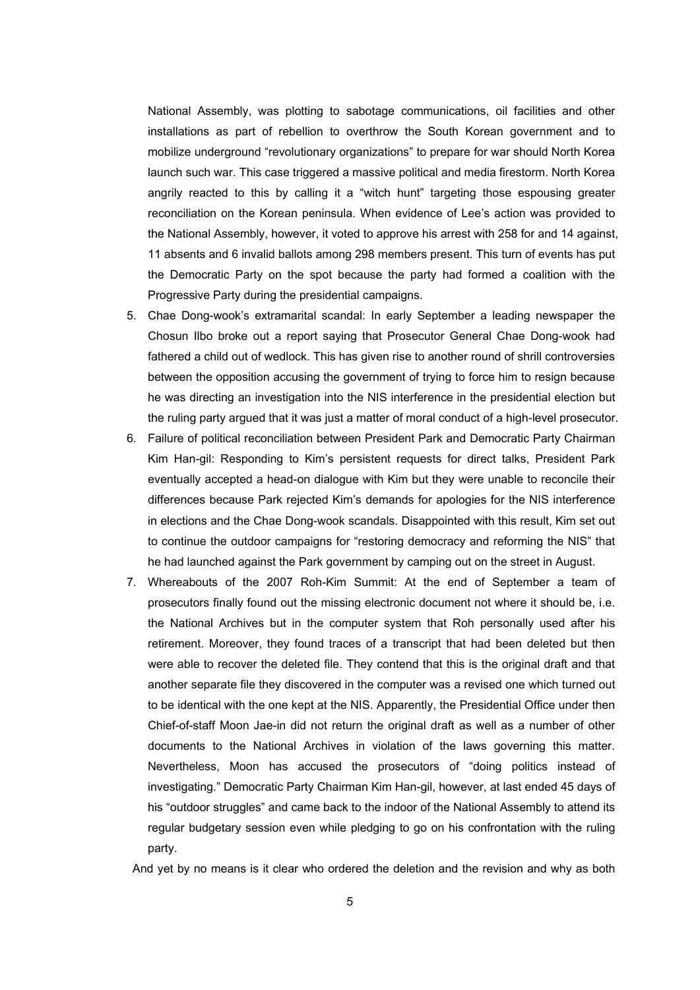National Assembly, was plotting to sabotage communications, oil facilities and other installations as part of rebellion to overthrow the South Korean government and to mobilize underground "revolutionary organizations" to prepare for war should North Korea launch such war. This case triggered a massive political and media firestorm. North Korea angrily reacted to this by calling it a "witch hunt" targeting those espousing greater reconciliation on the Korean peninsula. When evidence of Lee's action was provided to the National Assembly, however, it voted to approve his arrest with 258 for and 14 against, 11 absents and 6 invalid ballots among 298 members present. This turn of events has put the Democratic Party on the spot because the party had formed a coalition with the Progressive Party during the presidential campaigns.

- 5. Chae Dong-wook's extramarital scandal: In early September a leading newspaper the Chosun Ilbo broke out a report saying that Prosecutor General Chae Dong-wook had fathered a child out of wedlock. This has given rise to another round of shrill controversies between the opposition accusing the government of trying to force him to resign because he was directing an investigation into the NIS interference in the presidential election but the ruling party argued that it was just a matter of moral conduct of a high-level prosecutor.
- 6. Failure of political reconciliation between President Park and Democratic Party Chairman Kim Han-gil: Responding to Kim's persistent requests for direct talks, President Park eventually accepted a head-on dialogue with Kim but they were unable to reconcile their differences because Park rejected Kim's demands for apologies for the NIS interference in elections and the Chae Dong-wook scandals. Disappointed with this result, Kim set out to continue the outdoor campaigns for "restoring democracy and reforming the NIS" that he had launched against the Park government by camping out on the street in August.
- 7. Whereabouts of the 2007 Roh-Kim Summit: At the end of September a team of prosecutors finally found out the missing electronic document not where it should be, i.e. the National Archives but in the computer system that Roh personally used after his retirement. Moreover, they found traces of a transcript that had been deleted but then were able to recover the deleted file. They contend that this is the original draft and that another separate file they discovered in the computer was a revised one which turned out to be identical with the one kept at the NIS. Apparently, the Presidential Office under then Chief-of-staff Moon Jae-in did not return the original draft as well as a number of other documents to the National Archives in violation of the laws governing this matter. Nevertheless, Moon has accused the prosecutors of "doing politics instead of investigating." Democratic Party Chairman Kim Han-gil, however, at last ended 45 days of his "outdoor struggles" and came back to the indoor of the National Assembly to attend its regular budgetary session even while pledging to go on his confrontation with the ruling party.

And yet by no means is it clear who ordered the deletion and the revision and why as both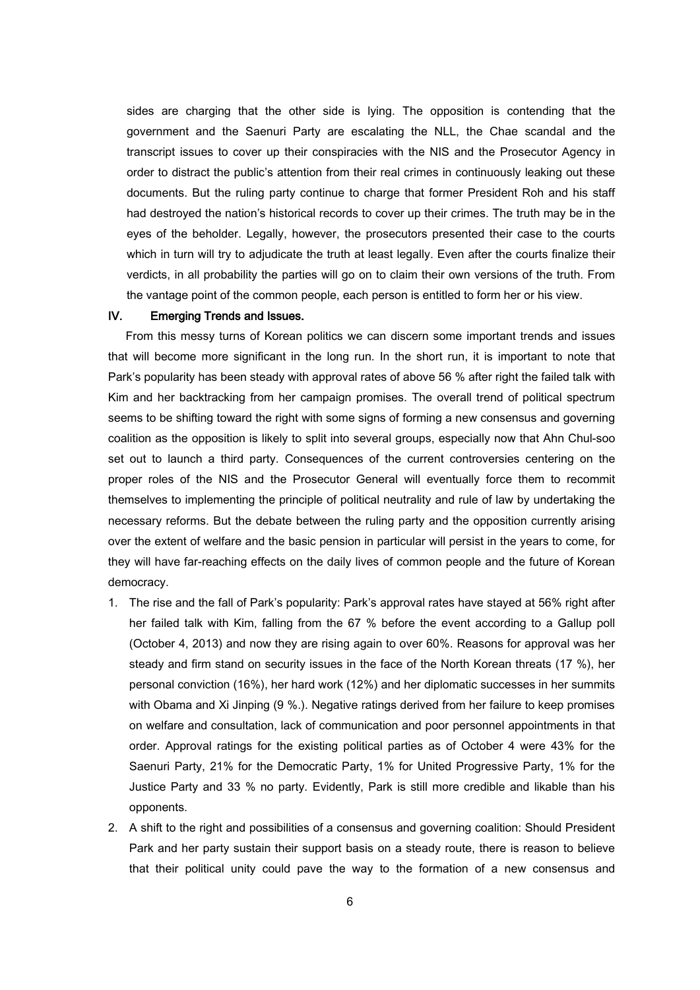sides are charging that the other side is lying. The opposition is contending that the government and the Saenuri Party are escalating the NLL, the Chae scandal and the transcript issues to cover up their conspiracies with the NIS and the Prosecutor Agency in order to distract the public's attention from their real crimes in continuously leaking out these documents. But the ruling party continue to charge that former President Roh and his staff had destroyed the nation's historical records to cover up their crimes. The truth may be in the eyes of the beholder. Legally, however, the prosecutors presented their case to the courts which in turn will try to adjudicate the truth at least legally. Even after the courts finalize their verdicts, in all probability the parties will go on to claim their own versions of the truth. From the vantage point of the common people, each person is entitled to form her or his view.

## IV. Emerging Trends and Issues.

 From this messy turns of Korean politics we can discern some important trends and issues that will become more significant in the long run. In the short run, it is important to note that Park's popularity has been steady with approval rates of above 56 % after right the failed talk with Kim and her backtracking from her campaign promises. The overall trend of political spectrum seems to be shifting toward the right with some signs of forming a new consensus and governing coalition as the opposition is likely to split into several groups, especially now that Ahn Chul-soo set out to launch a third party. Consequences of the current controversies centering on the proper roles of the NIS and the Prosecutor General will eventually force them to recommit themselves to implementing the principle of political neutrality and rule of law by undertaking the necessary reforms. But the debate between the ruling party and the opposition currently arising over the extent of welfare and the basic pension in particular will persist in the years to come, for they will have far-reaching effects on the daily lives of common people and the future of Korean democracy.

- 1. The rise and the fall of Park's popularity: Park's approval rates have stayed at 56% right after her failed talk with Kim, falling from the 67 % before the event according to a Gallup poll (October 4, 2013) and now they are rising again to over 60%. Reasons for approval was her steady and firm stand on security issues in the face of the North Korean threats (17 %), her personal conviction (16%), her hard work (12%) and her diplomatic successes in her summits with Obama and Xi Jinping (9 %.). Negative ratings derived from her failure to keep promises on welfare and consultation, lack of communication and poor personnel appointments in that order. Approval ratings for the existing political parties as of October 4 were 43% for the Saenuri Party, 21% for the Democratic Party, 1% for United Progressive Party, 1% for the Justice Party and 33 % no party. Evidently, Park is still more credible and likable than his opponents.
- 2. A shift to the right and possibilities of a consensus and governing coalition: Should President Park and her party sustain their support basis on a steady route, there is reason to believe that their political unity could pave the way to the formation of a new consensus and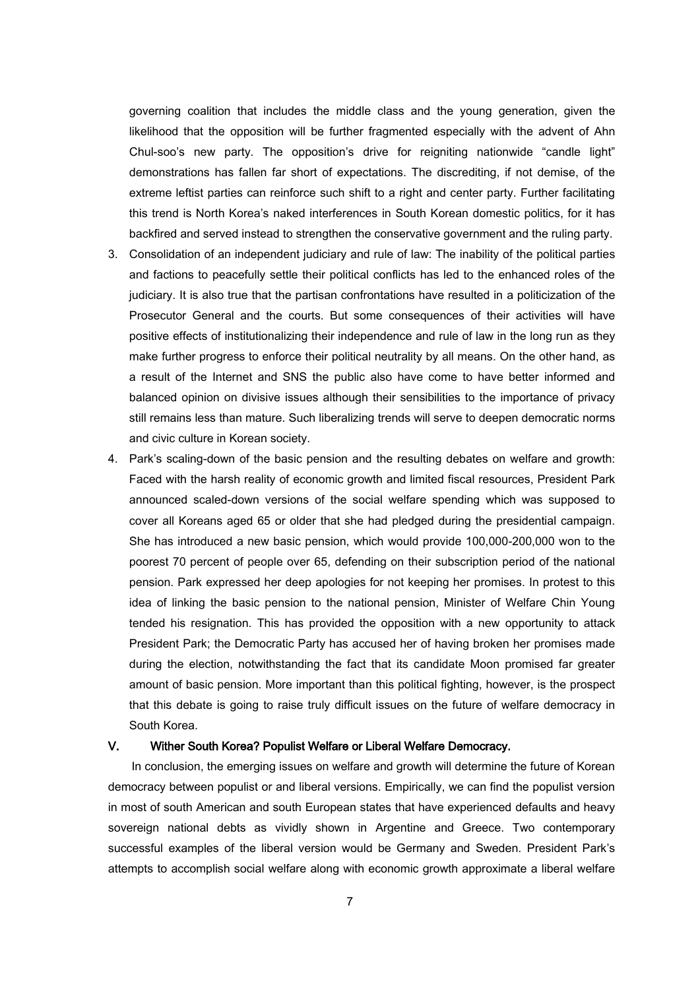governing coalition that includes the middle class and the young generation, given the likelihood that the opposition will be further fragmented especially with the advent of Ahn Chul-soo's new party. The opposition's drive for reigniting nationwide "candle light" demonstrations has fallen far short of expectations. The discrediting, if not demise, of the extreme leftist parties can reinforce such shift to a right and center party. Further facilitating this trend is North Korea's naked interferences in South Korean domestic politics, for it has backfired and served instead to strengthen the conservative government and the ruling party.

- 3. Consolidation of an independent judiciary and rule of law: The inability of the political parties and factions to peacefully settle their political conflicts has led to the enhanced roles of the judiciary. It is also true that the partisan confrontations have resulted in a politicization of the Prosecutor General and the courts. But some consequences of their activities will have positive effects of institutionalizing their independence and rule of law in the long run as they make further progress to enforce their political neutrality by all means. On the other hand, as a result of the Internet and SNS the public also have come to have better informed and balanced opinion on divisive issues although their sensibilities to the importance of privacy still remains less than mature. Such liberalizing trends will serve to deepen democratic norms and civic culture in Korean society.
- 4. Park's scaling-down of the basic pension and the resulting debates on welfare and growth: Faced with the harsh reality of economic growth and limited fiscal resources, President Park announced scaled-down versions of the social welfare spending which was supposed to cover all Koreans aged 65 or older that she had pledged during the presidential campaign. She has introduced a new basic pension, which would provide 100,000-200,000 won to the poorest 70 percent of people over 65, defending on their subscription period of the national pension. Park expressed her deep apologies for not keeping her promises. In protest to this idea of linking the basic pension to the national pension, Minister of Welfare Chin Young tended his resignation. This has provided the opposition with a new opportunity to attack President Park; the Democratic Party has accused her of having broken her promises made during the election, notwithstanding the fact that its candidate Moon promised far greater amount of basic pension. More important than this political fighting, however, is the prospect that this debate is going to raise truly difficult issues on the future of welfare democracy in South Korea.

## V. Wither South Korea? Populist Welfare or Liberal Welfare Democracy.

 In conclusion, the emerging issues on welfare and growth will determine the future of Korean democracy between populist or and liberal versions. Empirically, we can find the populist version in most of south American and south European states that have experienced defaults and heavy sovereign national debts as vividly shown in Argentine and Greece. Two contemporary successful examples of the liberal version would be Germany and Sweden. President Park's attempts to accomplish social welfare along with economic growth approximate a liberal welfare